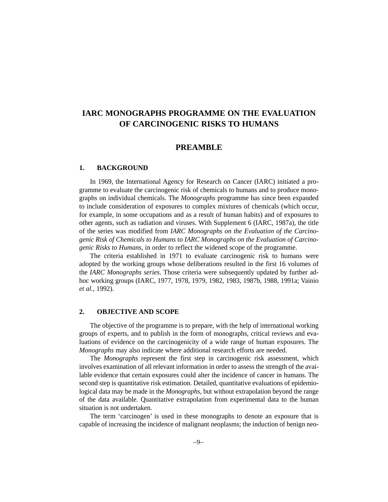# **IARC MONOGRAPHS PROGRAMME ON THE EVALUATION OF CARCINOGENIC RISKS TO HUMANS**

# **PREAMBLE**

# **1. BACKGROUND**

In 1969, the International Agency for Research on Cancer (IARC) initiated a programme to evaluate the carcinogenic risk of chemicals to humans and to produce monographs on individual chemicals. The *Monographs* programme has since been expanded to include consideration of exposures to complex mixtures of chemicals (which occur, for example, in some occupations and as a result of human habits) and of exposures to other agents, such as radiation and viruses. With Supplement 6 (IARC, 1987a), the title of the series was modified from *IARC Monographs on the Evaluation of the Carcinogenic Risk of Chemicals to Humans* to *IARC Monographs on the Evaluation of Carcinogenic Risks to Humans*, in order to reflect the widened scope of the programme.

The criteria established in 1971 to evaluate carcinogenic risk to humans were adopted by the working groups whose deliberations resulted in the first 16 volumes of the *IARC Monographs series*. Those criteria were subsequently updated by further adhoc working groups (IARC, 1977, 1978, 1979, 1982, 1983, 1987b, 1988, 1991a; Vainio *et al.*, 1992).

# **2. OBJECTIVE AND SCOPE**

The objective of the programme is to prepare, with the help of international working groups of experts, and to publish in the form of monographs, critical reviews and evaluations of evidence on the carcinogenicity of a wide range of human exposures. The *Monographs* may also indicate where additional research efforts are needed.

The *Monographs* represent the first step in carcinogenic risk assessment, which involves examination of all relevant information in order to assess the strength of the available evidence that certain exposures could alter the incidence of cancer in humans. The second step is quantitative risk estimation. Detailed, quantitative evaluations of epidemiological data may be made in the *Monographs*, but without extrapolation beyond the range of the data available. Quantitative extrapolation from experimental data to the human situation is not undertaken.

The term 'carcinogen' is used in these monographs to denote an exposure that is capable of increasing the incidence of malignant neoplasms; the induction of benign neo-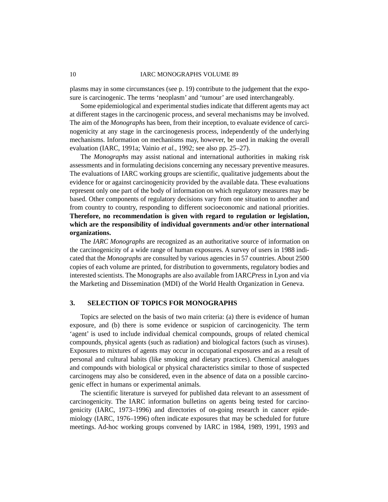plasms may in some circumstances (see p. 19) contribute to the judgement that the exposure is carcinogenic. The terms 'neoplasm' and 'tumour' are used interchangeably.

Some epidemiological and experimental studies indicate that different agents may act at different stages in the carcinogenic process, and several mechanisms may be involved. The aim of the *Monographs* has been, from their inception, to evaluate evidence of carcinogenicity at any stage in the carcinogenesis process, independently of the underlying mechanisms. Information on mechanisms may, however, be used in making the overall evaluation (IARC, 1991a; Vainio *et al.*, 1992; see also pp. 25–27).

The *Monographs* may assist national and international authorities in making risk assessments and in formulating decisions concerning any necessary preventive measures. The evaluations of IARC working groups are scientific, qualitative judgements about the evidence for or against carcinogenicity provided by the available data. These evaluations represent only one part of the body of information on which regulatory measures may be based. Other components of regulatory decisions vary from one situation to another and from country to country, responding to different socioeconomic and national priorities. **Therefore, no recommendation is given with regard to regulation or legislation, which are the responsibility of individual governments and/or other international organizations.**

The *IARC Monographs* are recognized as an authoritative source of information on the carcinogenicity of a wide range of human exposures. A survey of users in 1988 indicated that the *Monographs* are consulted by various agencies in 57 countries. About 2500 copies of each volume are printed, for distribution to governments, regulatory bodies and interested scientists. The Monographs are also available from IARC*Press* in Lyon and via the Marketing and Dissemination (MDI) of the World Health Organization in Geneva.

### **3. SELECTION OF TOPICS FOR MONOGRAPHS**

Topics are selected on the basis of two main criteria: (a) there is evidence of human exposure, and (b) there is some evidence or suspicion of carcinogenicity. The term 'agent' is used to include individual chemical compounds, groups of related chemical compounds, physical agents (such as radiation) and biological factors (such as viruses). Exposures to mixtures of agents may occur in occupational exposures and as a result of personal and cultural habits (like smoking and dietary practices). Chemical analogues and compounds with biological or physical characteristics similar to those of suspected carcinogens may also be considered, even in the absence of data on a possible carcinogenic effect in humans or experimental animals.

The scientific literature is surveyed for published data relevant to an assessment of carcinogenicity. The IARC information bulletins on agents being tested for carcinogenicity (IARC, 1973–1996) and directories of on-going research in cancer epidemiology (IARC, 1976–1996) often indicate exposures that may be scheduled for future meetings. Ad-hoc working groups convened by IARC in 1984, 1989, 1991, 1993 and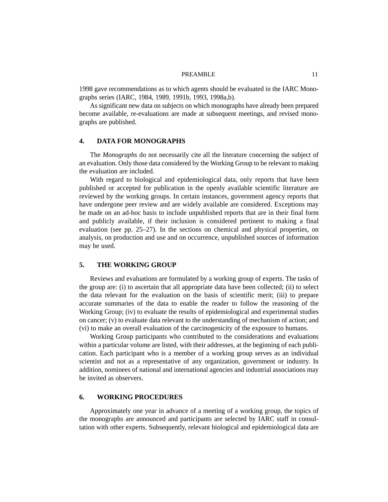1998 gave recommendations as to which agents should be evaluated in the IARC Monographs series (IARC, 1984, 1989, 1991b, 1993, 1998a,b).

As significant new data on subjects on which monographs have already been prepared become available, re-evaluations are made at subsequent meetings, and revised monographs are published.

### **4. DATA FOR MONOGRAPHS**

The *Monographs* do not necessarily cite all the literature concerning the subject of an evaluation. Only those data considered by the Working Group to be relevant to making the evaluation are included.

With regard to biological and epidemiological data, only reports that have been published or accepted for publication in the openly available scientific literature are reviewed by the working groups. In certain instances, government agency reports that have undergone peer review and are widely available are considered. Exceptions may be made on an ad-hoc basis to include unpublished reports that are in their final form and publicly available, if their inclusion is considered pertinent to making a final evaluation (see pp. 25–27). In the sections on chemical and physical properties, on analysis, on production and use and on occurrence, unpublished sources of information may be used.

# **5. THE WORKING GROUP**

Reviews and evaluations are formulated by a working group of experts. The tasks of the group are: (i) to ascertain that all appropriate data have been collected; (ii) to select the data relevant for the evaluation on the basis of scientific merit; (iii) to prepare accurate summaries of the data to enable the reader to follow the reasoning of the Working Group; (iv) to evaluate the results of epidemiological and experimental studies on cancer; (v) to evaluate data relevant to the understanding of mechanism of action; and (vi) to make an overall evaluation of the carcinogenicity of the exposure to humans.

Working Group participants who contributed to the considerations and evaluations within a particular volume are listed, with their addresses, at the beginning of each publication. Each participant who is a member of a working group serves as an individual scientist and not as a representative of any organization, government or industry. In addition, nominees of national and international agencies and industrial associations may be invited as observers.

# **6. WORKING PROCEDURES**

Approximately one year in advance of a meeting of a working group, the topics of the monographs are announced and participants are selected by IARC staff in consultation with other experts. Subsequently, relevant biological and epidemiological data are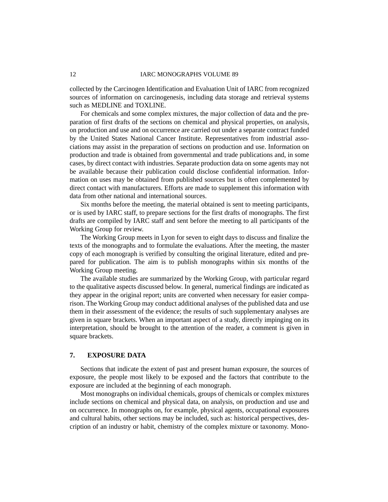collected by the Carcinogen Identification and Evaluation Unit of IARC from recognized sources of information on carcinogenesis, including data storage and retrieval systems such as MEDLINE and TOXLINE.

For chemicals and some complex mixtures, the major collection of data and the preparation of first drafts of the sections on chemical and physical properties, on analysis, on production and use and on occurrence are carried out under a separate contract funded by the United States National Cancer Institute. Representatives from industrial associations may assist in the preparation of sections on production and use. Information on production and trade is obtained from governmental and trade publications and, in some cases, by direct contact with industries. Separate production data on some agents may not be available because their publication could disclose confidential information. Information on uses may be obtained from published sources but is often complemented by direct contact with manufacturers. Efforts are made to supplement this information with data from other national and international sources.

Six months before the meeting, the material obtained is sent to meeting participants, or is used by IARC staff, to prepare sections for the first drafts of monographs. The first drafts are compiled by IARC staff and sent before the meeting to all participants of the Working Group for review.

The Working Group meets in Lyon for seven to eight days to discuss and finalize the texts of the monographs and to formulate the evaluations. After the meeting, the master copy of each monograph is verified by consulting the original literature, edited and prepared for publication. The aim is to publish monographs within six months of the Working Group meeting.

The available studies are summarized by the Working Group, with particular regard to the qualitative aspects discussed below. In general, numerical findings are indicated as they appear in the original report; units are converted when necessary for easier comparison. The Working Group may conduct additional analyses of the published data and use them in their assessment of the evidence; the results of such supplementary analyses are given in square brackets. When an important aspect of a study, directly impinging on its interpretation, should be brought to the attention of the reader, a comment is given in square brackets.

# **7. EXPOSURE DATA**

Sections that indicate the extent of past and present human exposure, the sources of exposure, the people most likely to be exposed and the factors that contribute to the exposure are included at the beginning of each monograph.

Most monographs on individual chemicals, groups of chemicals or complex mixtures include sections on chemical and physical data, on analysis, on production and use and on occurrence. In monographs on, for example, physical agents, occupational exposures and cultural habits, other sections may be included, such as: historical perspectives, description of an industry or habit, chemistry of the complex mixture or taxonomy. Mono-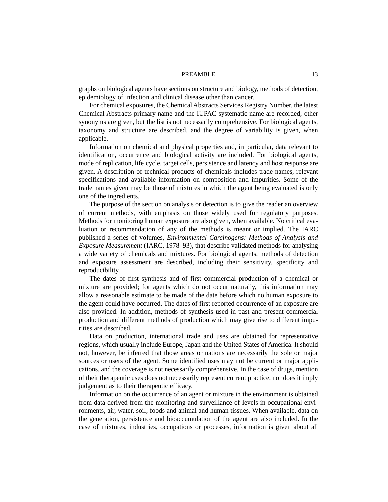graphs on biological agents have sections on structure and biology, methods of detection, epidemiology of infection and clinical disease other than cancer.

For chemical exposures, the Chemical Abstracts Services Registry Number, the latest Chemical Abstracts primary name and the IUPAC systematic name are recorded; other synonyms are given, but the list is not necessarily comprehensive. For biological agents, taxonomy and structure are described, and the degree of variability is given, when applicable.

Information on chemical and physical properties and, in particular, data relevant to identification, occurrence and biological activity are included. For biological agents, mode of replication, life cycle, target cells, persistence and latency and host response are given. A description of technical products of chemicals includes trade names, relevant specifications and available information on composition and impurities. Some of the trade names given may be those of mixtures in which the agent being evaluated is only one of the ingredients.

The purpose of the section on analysis or detection is to give the reader an overview of current methods, with emphasis on those widely used for regulatory purposes. Methods for monitoring human exposure are also given, when available. No critical evaluation or recommendation of any of the methods is meant or implied. The IARC published a series of volumes, *Environmental Carcinogens: Methods of Analysis and Exposure Measurement* (IARC, 1978–93), that describe validated methods for analysing a wide variety of chemicals and mixtures. For biological agents, methods of detection and exposure assessment are described, including their sensitivity, specificity and reproducibility.

The dates of first synthesis and of first commercial production of a chemical or mixture are provided; for agents which do not occur naturally, this information may allow a reasonable estimate to be made of the date before which no human exposure to the agent could have occurred. The dates of first reported occurrence of an exposure are also provided. In addition, methods of synthesis used in past and present commercial production and different methods of production which may give rise to different impurities are described.

Data on production, international trade and uses are obtained for representative regions, which usually include Europe, Japan and the United States of America. It should not, however, be inferred that those areas or nations are necessarily the sole or major sources or users of the agent. Some identified uses may not be current or major applications, and the coverage is not necessarily comprehensive. In the case of drugs, mention of their therapeutic uses does not necessarily represent current practice, nor does it imply judgement as to their therapeutic efficacy.

Information on the occurrence of an agent or mixture in the environment is obtained from data derived from the monitoring and surveillance of levels in occupational environments, air, water, soil, foods and animal and human tissues. When available, data on the generation, persistence and bioaccumulation of the agent are also included. In the case of mixtures, industries, occupations or processes, information is given about all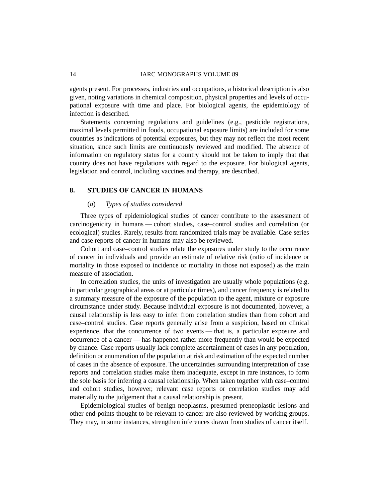agents present. For processes, industries and occupations, a historical description is also given, noting variations in chemical composition, physical properties and levels of occupational exposure with time and place. For biological agents, the epidemiology of infection is described.

Statements concerning regulations and guidelines (e.g., pesticide registrations, maximal levels permitted in foods, occupational exposure limits) are included for some countries as indications of potential exposures, but they may not reflect the most recent situation, since such limits are continuously reviewed and modified. The absence of information on regulatory status for a country should not be taken to imply that that country does not have regulations with regard to the exposure. For biological agents, legislation and control, including vaccines and therapy, are described.

# **8. STUDIES OF CANCER IN HUMANS**

#### (*a*) *Types of studies considered*

Three types of epidemiological studies of cancer contribute to the assessment of carcinogenicity in humans — cohort studies, case–control studies and correlation (or ecological) studies. Rarely, results from randomized trials may be available. Case series and case reports of cancer in humans may also be reviewed.

Cohort and case–control studies relate the exposures under study to the occurrence of cancer in individuals and provide an estimate of relative risk (ratio of incidence or mortality in those exposed to incidence or mortality in those not exposed) as the main measure of association.

In correlation studies, the units of investigation are usually whole populations (e.g. in particular geographical areas or at particular times), and cancer frequency is related to a summary measure of the exposure of the population to the agent, mixture or exposure circumstance under study. Because individual exposure is not documented, however, a causal relationship is less easy to infer from correlation studies than from cohort and case–control studies. Case reports generally arise from a suspicion, based on clinical experience, that the concurrence of two events — that is, a particular exposure and occurrence of a cancer — has happened rather more frequently than would be expected by chance. Case reports usually lack complete ascertainment of cases in any population, definition or enumeration of the population at risk and estimation of the expected number of cases in the absence of exposure. The uncertainties surrounding interpretation of case reports and correlation studies make them inadequate, except in rare instances, to form the sole basis for inferring a causal relationship. When taken together with case–control and cohort studies, however, relevant case reports or correlation studies may add materially to the judgement that a causal relationship is present.

Epidemiological studies of benign neoplasms, presumed preneoplastic lesions and other end-points thought to be relevant to cancer are also reviewed by working groups. They may, in some instances, strengthen inferences drawn from studies of cancer itself.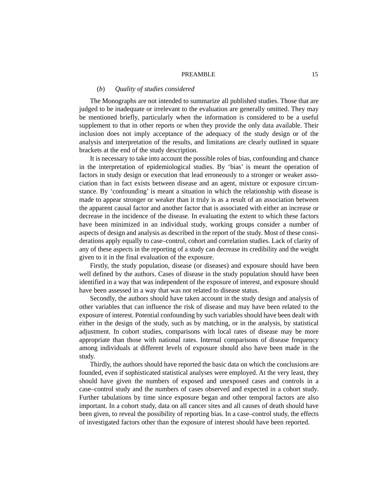### (*b*) *Quality of studies considered*

The Monographs are not intended to summarize all published studies. Those that are judged to be inadequate or irrelevant to the evaluation are generally omitted. They may be mentioned briefly, particularly when the information is considered to be a useful supplement to that in other reports or when they provide the only data available. Their inclusion does not imply acceptance of the adequacy of the study design or of the analysis and interpretation of the results, and limitations are clearly outlined in square brackets at the end of the study description.

It is necessary to take into account the possible roles of bias, confounding and chance in the interpretation of epidemiological studies. By 'bias' is meant the operation of factors in study design or execution that lead erroneously to a stronger or weaker association than in fact exists between disease and an agent, mixture or exposure circumstance. By 'confounding' is meant a situation in which the relationship with disease is made to appear stronger or weaker than it truly is as a result of an association between the apparent causal factor and another factor that is associated with either an increase or decrease in the incidence of the disease. In evaluating the extent to which these factors have been minimized in an individual study, working groups consider a number of aspects of design and analysis as described in the report of the study. Most of these considerations apply equally to case–control, cohort and correlation studies. Lack of clarity of any of these aspects in the reporting of a study can decrease its credibility and the weight given to it in the final evaluation of the exposure.

Firstly, the study population, disease (or diseases) and exposure should have been well defined by the authors. Cases of disease in the study population should have been identified in a way that was independent of the exposure of interest, and exposure should have been assessed in a way that was not related to disease status.

Secondly, the authors should have taken account in the study design and analysis of other variables that can influence the risk of disease and may have been related to the exposure of interest. Potential confounding by such variables should have been dealt with either in the design of the study, such as by matching, or in the analysis, by statistical adjustment. In cohort studies, comparisons with local rates of disease may be more appropriate than those with national rates. Internal comparisons of disease frequency among individuals at different levels of exposure should also have been made in the study.

Thirdly, the authors should have reported the basic data on which the conclusions are founded, even if sophisticated statistical analyses were employed. At the very least, they should have given the numbers of exposed and unexposed cases and controls in a case–control study and the numbers of cases observed and expected in a cohort study. Further tabulations by time since exposure began and other temporal factors are also important. In a cohort study, data on all cancer sites and all causes of death should have been given, to reveal the possibility of reporting bias. In a case–control study, the effects of investigated factors other than the exposure of interest should have been reported.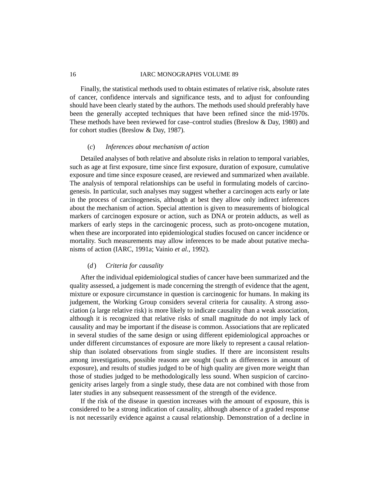Finally, the statistical methods used to obtain estimates of relative risk, absolute rates of cancer, confidence intervals and significance tests, and to adjust for confounding should have been clearly stated by the authors. The methods used should preferably have been the generally accepted techniques that have been refined since the mid-1970s. These methods have been reviewed for case–control studies (Breslow  $&$  Day, 1980) and for cohort studies (Breslow & Day, 1987).

#### (*c*) *Inferences about mechanism of action*

Detailed analyses of both relative and absolute risks in relation to temporal variables, such as age at first exposure, time since first exposure, duration of exposure, cumulative exposure and time since exposure ceased, are reviewed and summarized when available. The analysis of temporal relationships can be useful in formulating models of carcinogenesis. In particular, such analyses may suggest whether a carcinogen acts early or late in the process of carcinogenesis, although at best they allow only indirect inferences about the mechanism of action. Special attention is given to measurements of biological markers of carcinogen exposure or action, such as DNA or protein adducts, as well as markers of early steps in the carcinogenic process, such as proto-oncogene mutation, when these are incorporated into epidemiological studies focused on cancer incidence or mortality. Such measurements may allow inferences to be made about putative mechanisms of action (IARC, 1991a; Vainio *et al.*, 1992).

### (*d* ) *Criteria for causality*

After the individual epidemiological studies of cancer have been summarized and the quality assessed, a judgement is made concerning the strength of evidence that the agent, mixture or exposure circumstance in question is carcinogenic for humans. In making its judgement, the Working Group considers several criteria for causality. A strong association (a large relative risk) is more likely to indicate causality than a weak association, although it is recognized that relative risks of small magnitude do not imply lack of causality and may be important if the disease is common. Associations that are replicated in several studies of the same design or using different epidemiological approaches or under different circumstances of exposure are more likely to represent a causal relationship than isolated observations from single studies. If there are inconsistent results among investigations, possible reasons are sought (such as differences in amount of exposure), and results of studies judged to be of high quality are given more weight than those of studies judged to be methodologically less sound. When suspicion of carcinogenicity arises largely from a single study, these data are not combined with those from later studies in any subsequent reassessment of the strength of the evidence.

If the risk of the disease in question increases with the amount of exposure, this is considered to be a strong indication of causality, although absence of a graded response is not necessarily evidence against a causal relationship. Demonstration of a decline in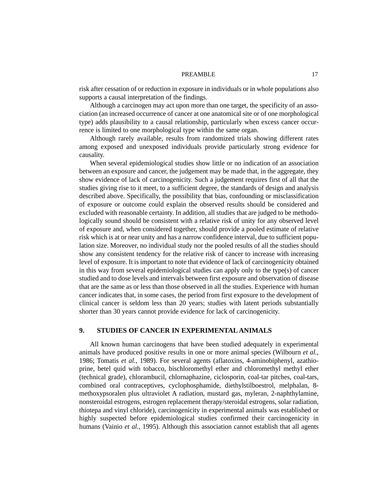risk after cessation of or reduction in exposure in individuals or in whole populations also supports a causal interpretation of the findings.

Although a carcinogen may act upon more than one target, the specificity of an association (an increased occurrence of cancer at one anatomical site or of one morphological type) adds plausibility to a causal relationship, particularly when excess cancer occurrence is limited to one morphological type within the same organ.

Although rarely available, results from randomized trials showing different rates among exposed and unexposed individuals provide particularly strong evidence for causality.

When several epidemiological studies show little or no indication of an association between an exposure and cancer, the judgement may be made that, in the aggregate, they show evidence of lack of carcinogenicity. Such a judgement requires first of all that the studies giving rise to it meet, to a sufficient degree, the standards of design and analysis described above. Specifically, the possibility that bias, confounding or misclassification of exposure or outcome could explain the observed results should be considered and excluded with reasonable certainty. In addition, all studies that are judged to be methodologically sound should be consistent with a relative risk of unity for any observed level of exposure and, when considered together, should provide a pooled estimate of relative risk which is at or near unity and has a narrow confidence interval, due to sufficient population size. Moreover, no individual study nor the pooled results of all the studies should show any consistent tendency for the relative risk of cancer to increase with increasing level of exposure. It is important to note that evidence of lack of carcinogenicity obtained in this way from several epidemiological studies can apply only to the type(s) of cancer studied and to dose levels and intervals between first exposure and observation of disease that are the same as or less than those observed in all the studies. Experience with human cancer indicates that, in some cases, the period from first exposure to the development of clinical cancer is seldom less than 20 years; studies with latent periods substantially shorter than 30 years cannot provide evidence for lack of carcinogenicity.

### **9. STUDIES OF CANCER IN EXPERIMENTAL ANIMALS**

All known human carcinogens that have been studied adequately in experimental animals have produced positive results in one or more animal species (Wilbourn *et al.*, 1986; Tomatis *et al.*, 1989). For several agents (aflatoxins, 4-aminobiphenyl, azathioprine, betel quid with tobacco, bischloromethyl ether and chloromethyl methyl ether (technical grade), chlorambucil, chlornaphazine, ciclosporin, coal-tar pitches, coal-tars, combined oral contraceptives, cyclophosphamide, diethylstilboestrol, melphalan, 8 methoxypsoralen plus ultraviolet A radiation, mustard gas, myleran, 2-naphthylamine, nonsteroidal estrogens, estrogen replacement therapy/steroidal estrogens, solar radiation, thiotepa and vinyl chloride), carcinogenicity in experimental animals was established or highly suspected before epidemiological studies confirmed their carcinogenicity in humans (Vainio *et al.*, 1995). Although this association cannot establish that all agents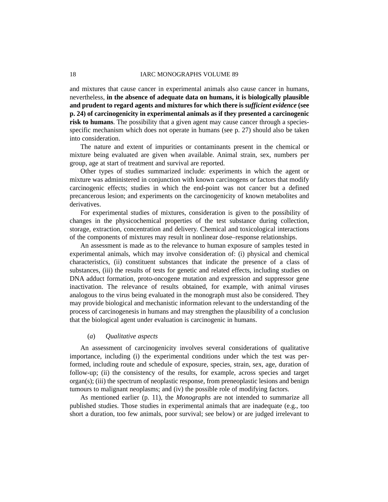and mixtures that cause cancer in experimental animals also cause cancer in humans, nevertheless, **in the absence of adequate data on humans, it is biologically plausible and prudent to regard agents and mixtures for which there is** *sufficient evidence* **(see p. 24) of carcinogenicity in experimental animals as if they presented a carcinogenic risk to humans**. The possibility that a given agent may cause cancer through a speciesspecific mechanism which does not operate in humans (see p. 27) should also be taken into consideration.

The nature and extent of impurities or contaminants present in the chemical or mixture being evaluated are given when available. Animal strain, sex, numbers per group, age at start of treatment and survival are reported.

Other types of studies summarized include: experiments in which the agent or mixture was administered in conjunction with known carcinogens or factors that modify carcinogenic effects; studies in which the end-point was not cancer but a defined precancerous lesion; and experiments on the carcinogenicity of known metabolites and derivatives.

For experimental studies of mixtures, consideration is given to the possibility of changes in the physicochemical properties of the test substance during collection, storage, extraction, concentration and delivery. Chemical and toxicological interactions of the components of mixtures may result in nonlinear dose–response relationships.

An assessment is made as to the relevance to human exposure of samples tested in experimental animals, which may involve consideration of: (i) physical and chemical characteristics, (ii) constituent substances that indicate the presence of a class of substances, (iii) the results of tests for genetic and related effects, including studies on DNA adduct formation, proto-oncogene mutation and expression and suppressor gene inactivation. The relevance of results obtained, for example, with animal viruses analogous to the virus being evaluated in the monograph must also be considered. They may provide biological and mechanistic information relevant to the understanding of the process of carcinogenesis in humans and may strengthen the plausibility of a conclusion that the biological agent under evaluation is carcinogenic in humans.

#### (*a*) *Qualitative aspects*

An assessment of carcinogenicity involves several considerations of qualitative importance, including (i) the experimental conditions under which the test was performed, including route and schedule of exposure, species, strain, sex, age, duration of follow-up; (ii) the consistency of the results, for example, across species and target organ(s); (iii) the spectrum of neoplastic response, from preneoplastic lesions and benign tumours to malignant neoplasms; and (iv) the possible role of modifying factors.

As mentioned earlier (p. 11), the *Monographs* are not intended to summarize all published studies. Those studies in experimental animals that are inadequate (e.g., too short a duration, too few animals, poor survival; see below) or are judged irrelevant to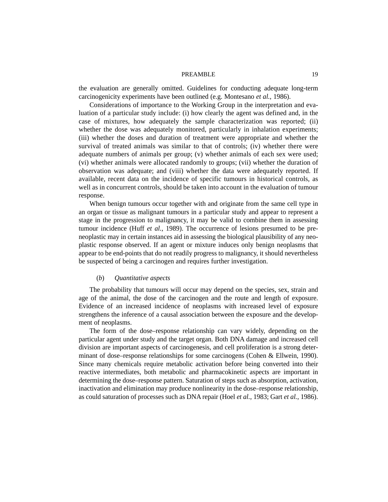the evaluation are generally omitted. Guidelines for conducting adequate long-term carcinogenicity experiments have been outlined (e.g. Montesano *et al.*, 1986).

Considerations of importance to the Working Group in the interpretation and evaluation of a particular study include: (i) how clearly the agent was defined and, in the case of mixtures, how adequately the sample characterization was reported; (ii) whether the dose was adequately monitored, particularly in inhalation experiments; (iii) whether the doses and duration of treatment were appropriate and whether the survival of treated animals was similar to that of controls; (iv) whether there were adequate numbers of animals per group; (v) whether animals of each sex were used; (vi) whether animals were allocated randomly to groups; (vii) whether the duration of observation was adequate; and (viii) whether the data were adequately reported. If available, recent data on the incidence of specific tumours in historical controls, as well as in concurrent controls, should be taken into account in the evaluation of tumour response.

When benign tumours occur together with and originate from the same cell type in an organ or tissue as malignant tumours in a particular study and appear to represent a stage in the progression to malignancy, it may be valid to combine them in assessing tumour incidence (Huff *et al.*, 1989). The occurrence of lesions presumed to be preneoplastic may in certain instances aid in assessing the biological plausibility of any neoplastic response observed. If an agent or mixture induces only benign neoplasms that appear to be end-points that do not readily progress to malignancy, it should nevertheless be suspected of being a carcinogen and requires further investigation.

#### (*b*) *Quantitative aspects*

The probability that tumours will occur may depend on the species, sex, strain and age of the animal, the dose of the carcinogen and the route and length of exposure. Evidence of an increased incidence of neoplasms with increased level of exposure strengthens the inference of a causal association between the exposure and the development of neoplasms.

The form of the dose–response relationship can vary widely, depending on the particular agent under study and the target organ. Both DNA damage and increased cell division are important aspects of carcinogenesis, and cell proliferation is a strong determinant of dose–response relationships for some carcinogens (Cohen & Ellwein, 1990). Since many chemicals require metabolic activation before being converted into their reactive intermediates, both metabolic and pharmacokinetic aspects are important in determining the dose–response pattern. Saturation of steps such as absorption, activation, inactivation and elimination may produce nonlinearity in the dose–response relationship, as could saturation of processes such as DNA repair (Hoel *et al.*, 1983; Gart *et al.*, 1986).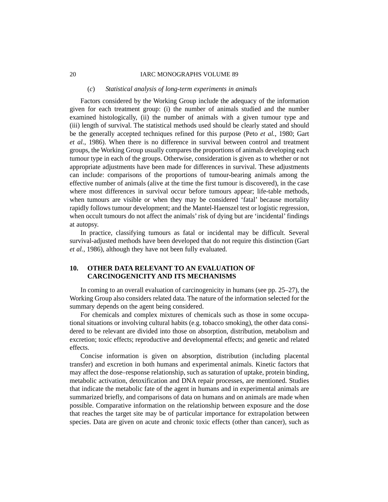#### (*c*) *Statistical analysis of long-term experiments in animals*

Factors considered by the Working Group include the adequacy of the information given for each treatment group: (i) the number of animals studied and the number examined histologically, (ii) the number of animals with a given tumour type and (iii) length of survival. The statistical methods used should be clearly stated and should be the generally accepted techniques refined for this purpose (Peto *et al.*, 1980; Gart *et al.*, 1986). When there is no difference in survival between control and treatment groups, the Working Group usually compares the proportions of animals developing each tumour type in each of the groups. Otherwise, consideration is given as to whether or not appropriate adjustments have been made for differences in survival. These adjustments can include: comparisons of the proportions of tumour-bearing animals among the effective number of animals (alive at the time the first tumour is discovered), in the case where most differences in survival occur before tumours appear; life-table methods, when tumours are visible or when they may be considered 'fatal' because mortality rapidly follows tumour development; and the Mantel-Haenszel test or logistic regression, when occult tumours do not affect the animals' risk of dying but are 'incidental' findings at autopsy.

In practice, classifying tumours as fatal or incidental may be difficult. Several survival-adjusted methods have been developed that do not require this distinction (Gart *et al.*, 1986), although they have not been fully evaluated.

# **10. OTHER DATA RELEVANT TO AN EVALUATION OF CARCINOGENICITY AND ITS MECHANISMS**

In coming to an overall evaluation of carcinogenicity in humans (see pp. 25–27), the Working Group also considers related data. The nature of the information selected for the summary depends on the agent being considered.

For chemicals and complex mixtures of chemicals such as those in some occupational situations or involving cultural habits (e.g. tobacco smoking), the other data considered to be relevant are divided into those on absorption, distribution, metabolism and excretion; toxic effects; reproductive and developmental effects; and genetic and related effects.

Concise information is given on absorption, distribution (including placental transfer) and excretion in both humans and experimental animals. Kinetic factors that may affect the dose–response relationship, such as saturation of uptake, protein binding, metabolic activation, detoxification and DNA repair processes, are mentioned. Studies that indicate the metabolic fate of the agent in humans and in experimental animals are summarized briefly, and comparisons of data on humans and on animals are made when possible. Comparative information on the relationship between exposure and the dose that reaches the target site may be of particular importance for extrapolation between species. Data are given on acute and chronic toxic effects (other than cancer), such as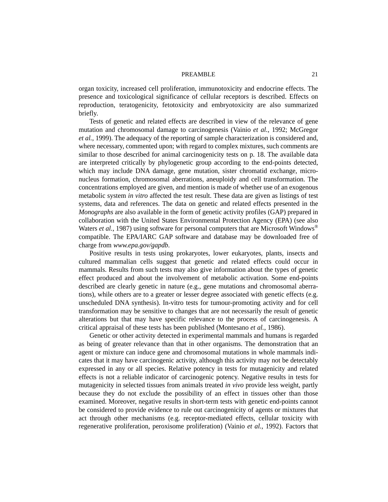organ toxicity, increased cell proliferation, immunotoxicity and endocrine effects. The presence and toxicological significance of cellular receptors is described. Effects on reproduction, teratogenicity, fetotoxicity and embryotoxicity are also summarized briefly.

Tests of genetic and related effects are described in view of the relevance of gene mutation and chromosomal damage to carcinogenesis (Vainio *et al.*, 1992; McGregor *et al.*, 1999). The adequacy of the reporting of sample characterization is considered and, where necessary, commented upon; with regard to complex mixtures, such comments are similar to those described for animal carcinogenicity tests on p. 18. The available data are interpreted critically by phylogenetic group according to the end-points detected, which may include DNA damage, gene mutation, sister chromatid exchange, micronucleus formation, chromosomal aberrations, aneuploidy and cell transformation. The concentrations employed are given, and mention is made of whether use of an exogenous metabolic system *in vitro* affected the test result. These data are given as listings of test systems, data and references. The data on genetic and related effects presented in the *Monographs* are also available in the form of genetic activity profiles (GAP) prepared in collaboration with the United States Environmental Protection Agency (EPA) (see also Waters *et al.*, 1987) using software for personal computers that are Microsoft Windows<sup>®</sup> compatible. The EPA/IARC GAP software and database may be downloaded free of charge from *www.epa.gov/gapdb*.

Positive results in tests using prokaryotes, lower eukaryotes, plants, insects and cultured mammalian cells suggest that genetic and related effects could occur in mammals. Results from such tests may also give information about the types of genetic effect produced and about the involvement of metabolic activation. Some end-points described are clearly genetic in nature (e.g., gene mutations and chromosomal aberrations), while others are to a greater or lesser degree associated with genetic effects (e.g. unscheduled DNA synthesis). In-vitro tests for tumour-promoting activity and for cell transformation may be sensitive to changes that are not necessarily the result of genetic alterations but that may have specific relevance to the process of carcinogenesis. A critical appraisal of these tests has been published (Montesano *et al.*, 1986).

Genetic or other activity detected in experimental mammals and humans is regarded as being of greater relevance than that in other organisms. The demonstration that an agent or mixture can induce gene and chromosomal mutations in whole mammals indicates that it may have carcinogenic activity, although this activity may not be detectably expressed in any or all species. Relative potency in tests for mutagenicity and related effects is not a reliable indicator of carcinogenic potency. Negative results in tests for mutagenicity in selected tissues from animals treated *in vivo* provide less weight, partly because they do not exclude the possibility of an effect in tissues other than those examined. Moreover, negative results in short-term tests with genetic end-points cannot be considered to provide evidence to rule out carcinogenicity of agents or mixtures that act through other mechanisms (e.g. receptor-mediated effects, cellular toxicity with regenerative proliferation, peroxisome proliferation) (Vainio *et al.*, 1992). Factors that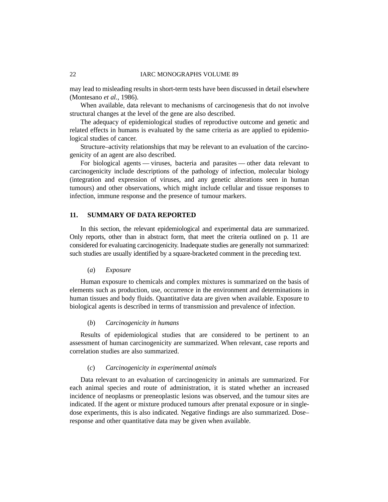may lead to misleading results in short-term tests have been discussed in detail elsewhere (Montesano *et al.*, 1986).

When available, data relevant to mechanisms of carcinogenesis that do not involve structural changes at the level of the gene are also described.

The adequacy of epidemiological studies of reproductive outcome and genetic and related effects in humans is evaluated by the same criteria as are applied to epidemiological studies of cancer.

Structure–activity relationships that may be relevant to an evaluation of the carcinogenicity of an agent are also described.

For biological agents — viruses, bacteria and parasites — other data relevant to carcinogenicity include descriptions of the pathology of infection, molecular biology (integration and expression of viruses, and any genetic alterations seen in human tumours) and other observations, which might include cellular and tissue responses to infection, immune response and the presence of tumour markers.

### **11. SUMMARY OF DATA REPORTED**

In this section, the relevant epidemiological and experimental data are summarized. Only reports, other than in abstract form, that meet the criteria outlined on p. 11 are considered for evaluating carcinogenicity. Inadequate studies are generally not summarized: such studies are usually identified by a square-bracketed comment in the preceding text.

#### (*a*) *Exposure*

Human exposure to chemicals and complex mixtures is summarized on the basis of elements such as production, use, occurrence in the environment and determinations in human tissues and body fluids. Quantitative data are given when available. Exposure to biological agents is described in terms of transmission and prevalence of infection.

#### (*b*) *Carcinogenicity in humans*

Results of epidemiological studies that are considered to be pertinent to an assessment of human carcinogenicity are summarized. When relevant, case reports and correlation studies are also summarized.

#### (*c*) *Carcinogenicity in experimental animals*

Data relevant to an evaluation of carcinogenicity in animals are summarized. For each animal species and route of administration, it is stated whether an increased incidence of neoplasms or preneoplastic lesions was observed, and the tumour sites are indicated. If the agent or mixture produced tumours after prenatal exposure or in singledose experiments, this is also indicated. Negative findings are also summarized. Dose– response and other quantitative data may be given when available.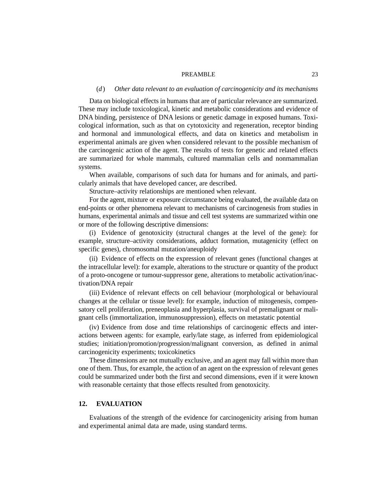# (*d*) *Other data relevant to an evaluation of carcinogenicity and its mechanisms*

Data on biological effects in humans that are of particular relevance are summarized. These may include toxicological, kinetic and metabolic considerations and evidence of DNA binding, persistence of DNA lesions or genetic damage in exposed humans. Toxicological information, such as that on cytotoxicity and regeneration, receptor binding and hormonal and immunological effects, and data on kinetics and metabolism in experimental animals are given when considered relevant to the possible mechanism of the carcinogenic action of the agent. The results of tests for genetic and related effects are summarized for whole mammals, cultured mammalian cells and nonmammalian systems.

When available, comparisons of such data for humans and for animals, and particularly animals that have developed cancer, are described.

Structure–activity relationships are mentioned when relevant.

For the agent, mixture or exposure circumstance being evaluated, the available data on end-points or other phenomena relevant to mechanisms of carcinogenesis from studies in humans, experimental animals and tissue and cell test systems are summarized within one or more of the following descriptive dimensions:

(i) Evidence of genotoxicity (structural changes at the level of the gene): for example, structure–activity considerations, adduct formation, mutagenicity (effect on specific genes), chromosomal mutation/aneuploidy

(ii) Evidence of effects on the expression of relevant genes (functional changes at the intracellular level): for example, alterations to the structure or quantity of the product of a proto-oncogene or tumour-suppressor gene, alterations to metabolic activation/inactivation/DNA repair

(iii) Evidence of relevant effects on cell behaviour (morphological or behavioural changes at the cellular or tissue level): for example, induction of mitogenesis, compensatory cell proliferation, preneoplasia and hyperplasia, survival of premalignant or malignant cells (immortalization, immunosuppression), effects on metastatic potential

(iv) Evidence from dose and time relationships of carcinogenic effects and interactions between agents: for example, early/late stage, as inferred from epidemiological studies; initiation/promotion/progression/malignant conversion, as defined in animal carcinogenicity experiments; toxicokinetics

These dimensions are not mutually exclusive, and an agent may fall within more than one of them. Thus, for example, the action of an agent on the expression of relevant genes could be summarized under both the first and second dimensions, even if it were known with reasonable certainty that those effects resulted from genotoxicity.

### **12. EVALUATION**

Evaluations of the strength of the evidence for carcinogenicity arising from human and experimental animal data are made, using standard terms.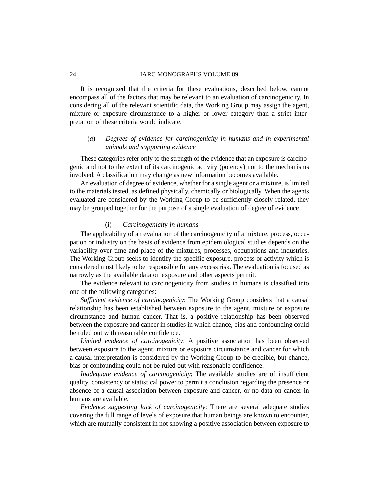It is recognized that the criteria for these evaluations, described below, cannot encompass all of the factors that may be relevant to an evaluation of carcinogenicity. In considering all of the relevant scientific data, the Working Group may assign the agent, mixture or exposure circumstance to a higher or lower category than a strict interpretation of these criteria would indicate.

# (*a*) *Degrees of evidence for carcinogenicity in humans and in experimental animals and supporting evidence*

These categories refer only to the strength of the evidence that an exposure is carcinogenic and not to the extent of its carcinogenic activity (potency) nor to the mechanisms involved. A classification may change as new information becomes available.

An evaluation of degree of evidence, whether for a single agent or a mixture, is limited to the materials tested, as defined physically, chemically or biologically. When the agents evaluated are considered by the Working Group to be sufficiently closely related, they may be grouped together for the purpose of a single evaluation of degree of evidence.

#### (i) *Carcinogenicity in humans*

The applicability of an evaluation of the carcinogenicity of a mixture, process, occupation or industry on the basis of evidence from epidemiological studies depends on the variability over time and place of the mixtures, processes, occupations and industries. The Working Group seeks to identify the specific exposure, process or activity which is considered most likely to be responsible for any excess risk. The evaluation is focused as narrowly as the available data on exposure and other aspects permit.

The evidence relevant to carcinogenicity from studies in humans is classified into one of the following categories:

*Sufficient evidence of carcinogenicity*: The Working Group considers that a causal relationship has been established between exposure to the agent, mixture or exposure circumstance and human cancer. That is, a positive relationship has been observed between the exposure and cancer in studies in which chance, bias and confounding could be ruled out with reasonable confidence.

*Limited evidence of carcinogenicity*: A positive association has been observed between exposure to the agent, mixture or exposure circumstance and cancer for which a causal interpretation is considered by the Working Group to be credible, but chance, bias or confounding could not be ruled out with reasonable confidence.

*Inadequate evidence of carcinogenicity*: The available studies are of insufficient quality, consistency or statistical power to permit a conclusion regarding the presence or absence of a causal association between exposure and cancer, or no data on cancer in humans are available.

*Evidence suggesting lack of carcinogenicity*: There are several adequate studies covering the full range of levels of exposure that human beings are known to encounter, which are mutually consistent in not showing a positive association between exposure to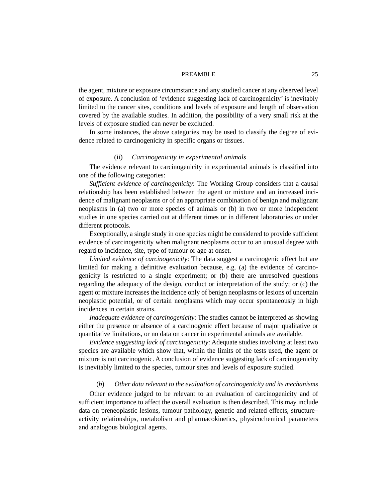the agent, mixture or exposure circumstance and any studied cancer at any observed level of exposure. A conclusion of 'evidence suggesting lack of carcinogenicity' is inevitably limited to the cancer sites, conditions and levels of exposure and length of observation covered by the available studies. In addition, the possibility of a very small risk at the levels of exposure studied can never be excluded.

In some instances, the above categories may be used to classify the degree of evidence related to carcinogenicity in specific organs or tissues.

### (ii) *Carcinogenicity in experimental animals*

The evidence relevant to carcinogenicity in experimental animals is classified into one of the following categories:

*Sufficient evidence of carcinogenicity*: The Working Group considers that a causal relationship has been established between the agent or mixture and an increased incidence of malignant neoplasms or of an appropriate combination of benign and malignant neoplasms in (a) two or more species of animals or (b) in two or more independent studies in one species carried out at different times or in different laboratories or under different protocols.

Exceptionally, a single study in one species might be considered to provide sufficient evidence of carcinogenicity when malignant neoplasms occur to an unusual degree with regard to incidence, site, type of tumour or age at onset.

*Limited evidence of carcinogenicity*: The data suggest a carcinogenic effect but are limited for making a definitive evaluation because, e.g. (a) the evidence of carcinogenicity is restricted to a single experiment; or (b) there are unresolved questions regarding the adequacy of the design, conduct or interpretation of the study; or (c) the agent or mixture increases the incidence only of benign neoplasms or lesions of uncertain neoplastic potential, or of certain neoplasms which may occur spontaneously in high incidences in certain strains.

*Inadequate evidence of carcinogenicity*: The studies cannot be interpreted as showing either the presence or absence of a carcinogenic effect because of major qualitative or quantitative limitations, or no data on cancer in experimental animals are available.

*Evidence suggesting lack of carcinogenicity*: Adequate studies involving at least two species are available which show that, within the limits of the tests used, the agent or mixture is not carcinogenic. A conclusion of evidence suggesting lack of carcinogenicity is inevitably limited to the species, tumour sites and levels of exposure studied.

#### (*b*) *Other data relevant to the evaluation of carcinogenicity and its mechanisms*

Other evidence judged to be relevant to an evaluation of carcinogenicity and of sufficient importance to affect the overall evaluation is then described. This may include data on preneoplastic lesions, tumour pathology, genetic and related effects, structure– activity relationships, metabolism and pharmacokinetics, physicochemical parameters and analogous biological agents.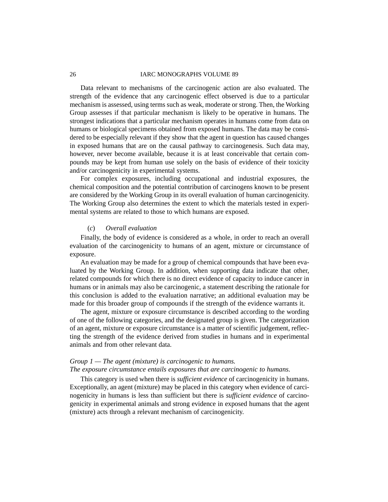Data relevant to mechanisms of the carcinogenic action are also evaluated. The strength of the evidence that any carcinogenic effect observed is due to a particular mechanism is assessed, using terms such as weak, moderate or strong. Then, the Working Group assesses if that particular mechanism is likely to be operative in humans. The strongest indications that a particular mechanism operates in humans come from data on humans or biological specimens obtained from exposed humans. The data may be considered to be especially relevant if they show that the agent in question has caused changes in exposed humans that are on the causal pathway to carcinogenesis. Such data may, however, never become available, because it is at least conceivable that certain compounds may be kept from human use solely on the basis of evidence of their toxicity and/or carcinogenicity in experimental systems.

For complex exposures, including occupational and industrial exposures, the chemical composition and the potential contribution of carcinogens known to be present are considered by the Working Group in its overall evaluation of human carcinogenicity. The Working Group also determines the extent to which the materials tested in experimental systems are related to those to which humans are exposed.

### (*c*) *Overall evaluation*

Finally, the body of evidence is considered as a whole, in order to reach an overall evaluation of the carcinogenicity to humans of an agent, mixture or circumstance of exposure.

An evaluation may be made for a group of chemical compounds that have been evaluated by the Working Group. In addition, when supporting data indicate that other, related compounds for which there is no direct evidence of capacity to induce cancer in humans or in animals may also be carcinogenic, a statement describing the rationale for this conclusion is added to the evaluation narrative; an additional evaluation may be made for this broader group of compounds if the strength of the evidence warrants it.

The agent, mixture or exposure circumstance is described according to the wording of one of the following categories, and the designated group is given. The categorization of an agent, mixture or exposure circumstance is a matter of scientific judgement, reflecting the strength of the evidence derived from studies in humans and in experimental animals and from other relevant data.

# *Group 1 — The agent (mixture) is carcinogenic to humans. The exposure circumstance entails exposures that are carcinogenic to humans.*

This category is used when there is *sufficient evidence* of carcinogenicity in humans. Exceptionally, an agent (mixture) may be placed in this category when evidence of carcinogenicity in humans is less than sufficient but there is *sufficient evidence* of carcinogenicity in experimental animals and strong evidence in exposed humans that the agent (mixture) acts through a relevant mechanism of carcinogenicity.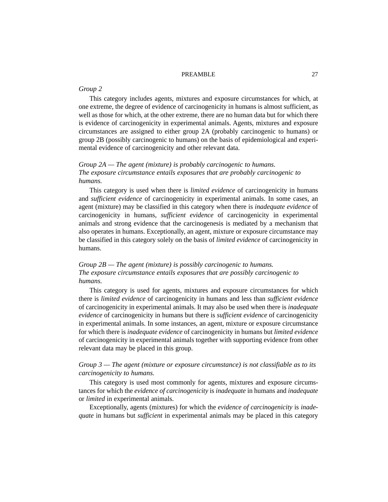### *Group 2*

This category includes agents, mixtures and exposure circumstances for which, at one extreme, the degree of evidence of carcinogenicity in humans is almost sufficient, as well as those for which, at the other extreme, there are no human data but for which there is evidence of carcinogenicity in experimental animals. Agents, mixtures and exposure circumstances are assigned to either group 2A (probably carcinogenic to humans) or group 2B (possibly carcinogenic to humans) on the basis of epidemiological and experimental evidence of carcinogenicity and other relevant data.

# *Group 2A — The agent (mixture) is probably carcinogenic to humans. The exposure circumstance entails exposures that are probably carcinogenic to humans.*

This category is used when there is *limited evidence* of carcinogenicity in humans and *sufficient evidence* of carcinogenicity in experimental animals. In some cases, an agent (mixture) may be classified in this category when there is *inadequate evidence* of carcinogenicity in humans, *sufficient evidence* of carcinogenicity in experimental animals and strong evidence that the carcinogenesis is mediated by a mechanism that also operates in humans. Exceptionally, an agent, mixture or exposure circumstance may be classified in this category solely on the basis of *limited evidence* of carcinogenicity in humans.

# *Group 2B — The agent (mixture) is possibly carcinogenic to humans. The exposure circumstance entails exposures that are possibly carcinogenic to humans.*

This category is used for agents, mixtures and exposure circumstances for which there is *limited evidence* of carcinogenicity in humans and less than *sufficient evidence* of carcinogenicity in experimental animals. It may also be used when there is *inadequate evidence* of carcinogenicity in humans but there is *sufficient evidence* of carcinogenicity in experimental animals. In some instances, an agent, mixture or exposure circumstance for which there is *inadequate evidence* of carcinogenicity in humans but *limited evidence* of carcinogenicity in experimental animals together with supporting evidence from other relevant data may be placed in this group.

## *Group 3 — The agent (mixture or exposure circumstance) is not classifiable as to its carcinogenicity to humans.*

This category is used most commonly for agents, mixtures and exposure circumstances for which the *evidence of carcinogenicity* is *inadequate* in humans and *inadequate* or *limited* in experimental animals.

Exceptionally, agents (mixtures) for which the *evidence of carcinogenicity* is *inadequate* in humans but *sufficient* in experimental animals may be placed in this category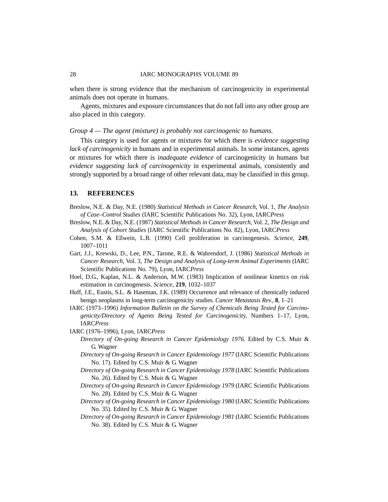when there is strong evidence that the mechanism of carcinogenicity in experimental animals does not operate in humans.

Agents, mixtures and exposure circumstances that do not fall into any other group are also placed in this category.

### *Group 4 — The agent (mixture) is probably not carcinogenic to humans.*

This category is used for agents or mixtures for which there is *evidence suggesting lack of carcinogenicity* in humans and in experimental animals. In some instances, agents or mixtures for which there is *inadequate evidence* of carcinogenicity in humans but *evidence suggesting lack of carcinogenicity* in experimental animals, consistently and strongly supported by a broad range of other relevant data, may be classified in this group.

### **13. REFERENCES**

- Breslow, N.E. & Day, N.E. (1980) *Statistical Methods in Cancer Research*, Vol. 1, *The Analysis of Case–Control Studies* (IARC Scientific Publications No. 32), Lyon, IARC*Press*
- Breslow, N.E. & Day, N.E. (1987) *Statistical Methods in Cancer Research*, Vol. 2, *The Design and Analysis of Cohort Studies* (IARC Scientific Publications No. 82), Lyon, IARC*Press*
- Cohen, S.M. & Ellwein, L.B. (1990) Cell proliferation in carcinogenesis. *Science*, **249**, 1007–1011
- Gart, J.J., Krewski, D., Lee, P.N., Tarone, R.E. & Wahrendorf, J. (1986) *Statistical Methods in Cancer Research*, Vol. 3, *The Design and Analysis of Long-term Animal Experiments* (IARC Scientific Publications No. 79), Lyon, IARC*Press*
- Hoel, D.G., Kaplan, N.L. & Anderson, M.W. (1983) Implication of nonlinear kinetics on risk estimation in carcinogenesis. *Science*, **219**, 1032–1037
- Huff, J.E., Eustis, S.L. & Haseman, J.K. (1989) Occurrence and relevance of chemically induced benign neoplasms in long-term carcinogenicity studies. *Cancer Metastasis Rev.*, **8**, 1–21
- IARC (1973–1996) *Information Bulletin on the Survey of Chemicals Being Tested for Carcinogenicity/Directory of Agents Being Tested for Carcinogenicit*y, Numbers 1–17, Lyon, IARC*Press*
- IARC (1976–1996), Lyon, IARC*Press*
	- *Directory of On-going Research in Cancer Epidemiology 1976.* Edited by C.S. Muir & G. Wagner
	- *Directory of On-going Research in Cancer Epidemiology 1977* (IARC Scientific Publications No. 17). Edited by C.S. Muir & G. Wagner
	- *Directory of On-going Research in Cancer Epidemiology 1978* (IARC Scientific Publications No. 26). Edited by C.S. Muir & G. Wagner
	- *Directory of On-going Research in Cancer Epidemiology 1979* (IARC Scientific Publications No. 28). Edited by C.S. Muir & G. Wagner
	- *Directory of On-going Research in Cancer Epidemiology 1980* (IARC Scientific Publications No. 35). Edited by C.S. Muir & G. Wagner
	- *Directory of On-going Research in Cancer Epidemiology 1981* (IARC Scientific Publications No. 38). Edited by C.S. Muir & G. Wagner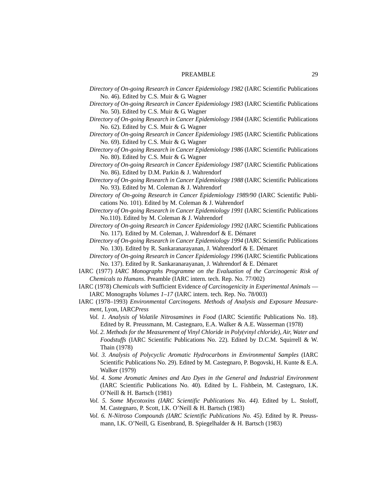- *Directory of On-going Research in Cancer Epidemiology 1982* (IARC Scientific Publications No. 46). Edited by C.S. Muir & G. Wagner
- *Directory of On-going Research in Cancer Epidemiology 1983* (IARC Scientific Publications No. 50). Edited by C.S. Muir & G. Wagner
- *Directory of On-going Research in Cancer Epidemiology 1984* (IARC Scientific Publications No. 62). Edited by C.S. Muir & G. Wagner
- *Directory of On-going Research in Cancer Epidemiology 1985* (IARC Scientific Publications No. 69). Edited by C.S. Muir & G. Wagner
- *Directory of On-going Research in Cancer Epidemiology 1986* (IARC Scientific Publications No. 80). Edited by C.S. Muir & G. Wagner
- *Directory of On-going Research in Cancer Epidemiology 1987* (IARC Scientific Publications No. 86). Edited by D.M. Parkin & J. Wahrendorf
- *Directory of On-going Research in Cancer Epidemiology 1988* (IARC Scientific Publications No. 93). Edited by M. Coleman & J. Wahrendorf
- *Directory of On-going Research in Cancer Epidemiology 1989/90* (IARC Scientific Publications No. 101). Edited by M. Coleman & J. Wahrendorf
- *Directory of On-going Research in Cancer Epidemiology 1991* (IARC Scientific Publications No.110). Edited by M. Coleman & J. Wahrendorf
- *Directory of On-going Research in Cancer Epidemiology 1992* (IARC Scientific Publications No. 117)*.* Edited by M. Coleman, J. Wahrendorf & E. Démaret
- *Directory of On-going Research in Cancer Epidemiology 1994* (IARC Scientific Publications No. 130). Edited by R. Sankaranarayanan, J. Wahrendorf & E. Démaret
- *Directory of On-going Research in Cancer Epidemiology 1996* (IARC Scientific Publications No. 137). Edited by R. Sankaranarayanan, J. Wahrendorf & E. Démaret
- IARC (1977) *IARC Monographs Programme on the Evaluation of the Carcinogenic Risk of Chemicals to Humans*. Preamble (IARC intern. tech. Rep. No. 77/002)
- IARC (1978) *Chemicals with* Sufficient Evidence *of Carcinogenicity in Experimental Animals* IARC Monographs *Volumes 1–17* (IARC intern. tech. Rep. No. 78/003)
- IARC (1978–1993) *Environmental Carcinogens. Methods of Analysis and Exposure Measurement*, Lyon, IARC*Press*
	- *Vol. 1. Analysis of Volatile Nitrosamines in Food* (IARC Scientific Publications No. 18). Edited by R. Preussmann, M. Castegnaro, E.A. Walker & A.E. Wasserman (1978)
	- *Vol. 2. Methods for the Measurement of Vinyl Chloride in Poly(vinyl chloride), Air, Water and Foodstuffs* (IARC Scientific Publications No. 22). Edited by D.C.M. Squirrell & W. Thain (1978)
	- *Vol. 3. Analysis of Polycyclic Aromatic Hydrocarbons in Environmental Samples* (IARC Scientific Publications No. 29). Edited by M. Castegnaro, P. Bogovski, H. Kunte & E.A. Walker (1979)
	- *Vol. 4. Some Aromatic Amines and Azo Dyes in the General and Industrial Environment* (IARC Scientific Publications No. 40). Edited by L. Fishbein, M. Castegnaro, I.K. O'Neill & H. Bartsch (1981)
	- *Vol. 5. Some Mycotoxins (IARC Scientific Publications No. 44).* Edited by L. Stoloff, M. Castegnaro, P. Scott, I.K. O'Neill & H. Bartsch (1983)
	- *Vol. 6. N-Nitroso Compounds (IARC Scientific Publications No. 45).* Edited by R. Preussmann, I.K. O'Neill, G. Eisenbrand, B. Spiegelhalder & H. Bartsch (1983)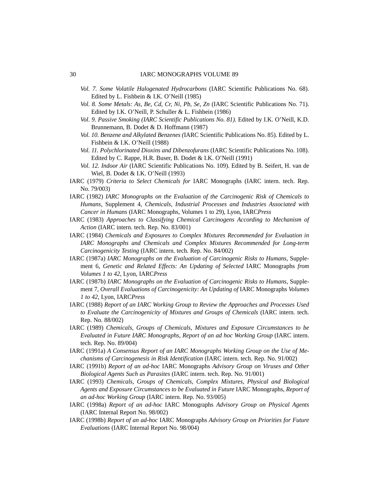- *Vol. 7. Some Volatile Halogenated Hydrocarbons* (IARC Scientific Publications No. 68). Edited by L. Fishbein & I.K. O'Neill (1985)
- *Vol. 8. Some Metals: As, Be, Cd, Cr, Ni, Pb, Se, Zn* (IARC Scientific Publications No. 71). Edited by I.K. O'Neill, P. Schuller & L. Fishbein (1986)
- *Vol. 9. Passive Smoking (IARC Scientific Publications No. 81).* Edited by I.K. O'Neill, K.D. Brunnemann, B. Dodet & D. Hoffmann (1987)
- *Vol. 10. Benzene and Alkylated Benzenes (*IARC Scientific Publications No. 85). Edited by L. Fishbein & I.K. O'Neill (1988)
- *Vol. 11. Polychlorinated Dioxins and Dibenzofurans* (IARC Scientific Publications No. 108). Edited by C. Rappe, H.R. Buser, B. Dodet & I.K. O'Neill (1991)
- *Vol. 12. Indoor Air* (IARC Scientific Publications No. 109). Edited by B. Seifert, H. van de Wiel, B. Dodet & I.K. O'Neill (1993)
- IARC (1979) *Criteria to Select Chemicals for* IARC Monographs (IARC intern. tech. Rep. No. 79/003)
- IARC (1982) *IARC Monographs on the Evaluation of the Carcinogenic Risk of Chemicals to Humans*, Supplement 4, *Chemicals, Industrial Processes and Industries Associated with Cancer in Humans* (IARC Monographs, Volumes 1 to 29), Lyon, IARC*Press*
- IARC (1983) *Approaches to Classifying Chemical Carcinogens According to Mechanism of Action* (IARC intern. tech. Rep. No. 83/001)
- IARC (1984) *Chemicals and Exposures to Complex Mixtures Recommended for Evaluation in IARC Monographs and Chemicals and Complex Mixtures Recommended for Long-term Carcinogenicity Testing* (IARC intern. tech. Rep. No. 84/002)
- IARC (1987a) *IARC Monographs on the Evaluation of Carcinogenic Risks to Humans*, Supplement 6, *Genetic and Related Effects: An Updating of Selected* IARC Monographs *from Volumes 1 to 42*, Lyon, IARC*Press*
- IARC (1987b) *IARC Monographs on the Evaluation of Carcinogenic Risks to Humans*, Supplement 7, *Overall Evaluations of Carcinogenicity: An Updating of* IARC Monographs *Volumes 1 to 42*, Lyon, IARC*Press*
- IARC (1988) *Report of an IARC Working Group to Review the Approaches and Processes Used to Evaluate the Carcinogenicity of Mixtures and Groups of Chemicals* (IARC intern. tech. Rep. No. 88/002)
- IARC (1989) *Chemicals, Groups of Chemicals, Mixtures and Exposure Circumstances to be Evaluated in Future IARC Monographs, Report of an ad hoc Working Group* (IARC intern. tech. Rep. No. 89/004)
- IARC (1991a) *A Consensus Report of an IARC Monographs Working Group on the Use of Mechanisms of Carcinogenesis in Risk Identification* (IARC intern. tech. Rep. No. 91/002)
- IARC (1991b) *Report of an ad-hoc* IARC Monographs *Advisory Group on Viruses and Other Biological Agents Such as Parasites* (IARC intern. tech. Rep. No. 91/001)
- IARC (1993) *Chemicals, Groups of Chemicals, Complex Mixtures, Physical and Biological Agents and Exposure Circumstances to be Evaluated in Future* IARC Monographs, *Report of an ad-hoc Working Group* (IARC intern. Rep. No. 93/005)
- IARC (1998a) *Report of an ad-hoc* IARC Monographs *Advisory Group on Physical Agents* (IARC Internal Report No. 98/002)
- IARC (1998b) *Report of an ad-hoc* IARC Monographs *Advisory Group on Priorities for Future Evaluations* (IARC Internal Report No. 98/004)